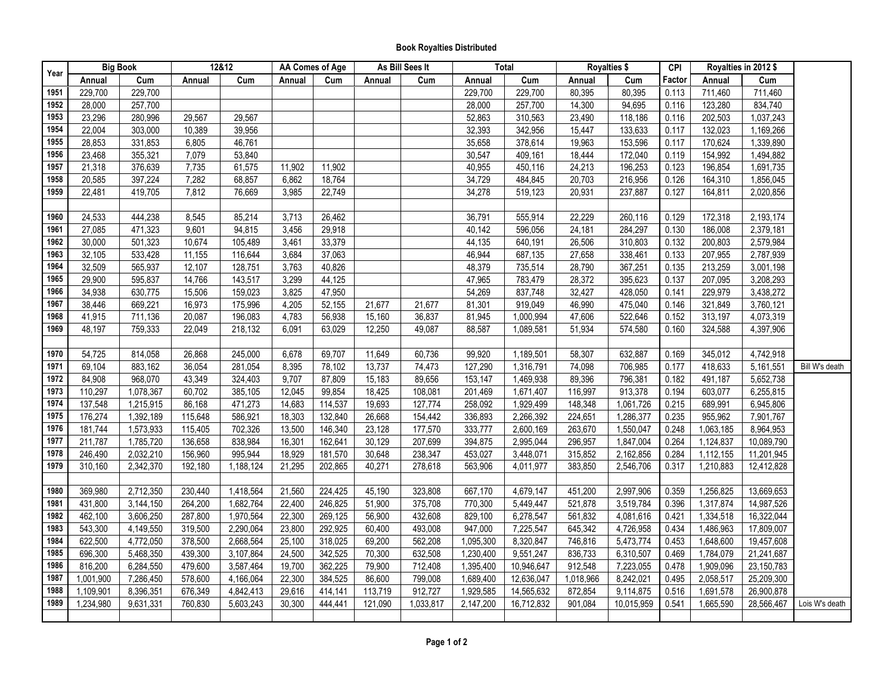## **Book Royalties Distributed**

| Year | <b>Big Book</b> |                        | 12&12   |           | AA Comes of Age |         | As Bill Sees It |           | Total     |            | <b>Royalties \$</b> |            | CPI    |           | Royalties in 2012 \$ |                |
|------|-----------------|------------------------|---------|-----------|-----------------|---------|-----------------|-----------|-----------|------------|---------------------|------------|--------|-----------|----------------------|----------------|
|      | Annual          | Cum                    | Annual  | Cum       | Annual          | Cum     | Annual          | Cum       | Annual    | Cum        | Annual              | Cum        | Factor | Annual    | Cum                  |                |
| 1951 | 229,700         | 229,700                |         |           |                 |         |                 |           | 229,700   | 229,700    | 80,395              | 80,395     | 0.113  | 711,460   | 711,460              |                |
| 1952 | 28,000          | 257,700                |         |           |                 |         |                 |           | 28,000    | 257,700    | 14,300              | 94,695     | 0.116  | 123,280   | 834,740              |                |
| 1953 | 23,296          | 280,996                | 29,567  | 29,567    |                 |         |                 |           | 52,863    | 310,563    | 23,490              | 118,186    | 0.116  | 202,503   | 1,037,243            |                |
| 1954 | 22,004          | 303,000                | 10,389  | 39,956    |                 |         |                 |           | 32,393    | 342,956    | 15,447              | 133,633    | 0.117  | 132,023   | 1,169,266            |                |
| 1955 | 28,853          | 331,853                | 6,805   | 46,761    |                 |         |                 |           | 35,658    | 378,614    | 19,963              | 153,596    | 0.117  | 170,624   | 1,339,890            |                |
| 1956 | 23,468          | 355,321                | 7,079   | 53,840    |                 |         |                 |           | 30,547    | 409,161    | 18,444              | 172,040    | 0.119  | 154,992   | 1,494,882            |                |
| 1957 | 21,318          | 376,639                | 7,735   | 61,575    | 11,902          | 11,902  |                 |           | 40,955    | 450,116    | 24,213              | 196,253    | 0.123  | 196,854   | 1,691,735            |                |
| 1958 | 20,585          | 397,224                | 7,282   | 68,857    | 6,862           | 18,764  |                 |           | 34,729    | 484,845    | 20,703              | 216,956    | 0.126  | 164,310   | 1,856,045            |                |
| 1959 | 22,481          | 419,705                | 7,812   | 76,669    | 3,985           | 22,749  |                 |           | 34,278    | 519,123    | 20,931              | 237,887    | 0.127  | 164,811   | 2,020,856            |                |
|      |                 |                        |         |           |                 |         |                 |           |           |            |                     |            |        |           |                      |                |
| 1960 | 24,533          | 444,238                | 8,545   | 85,214    | 3,713           | 26,462  |                 |           | 36,791    | 555,914    | 22,229              | 260,116    | 0.129  | 172,318   | 2,193,174            |                |
| 1961 | 27,085          | 471,323                | 9,601   | 94,815    | 3,456           | 29,918  |                 |           | 40,142    | 596,056    | 24,181              | 284,297    | 0.130  | 186,008   | 2,379,181            |                |
| 1962 | 30,000          | 501,323                | 10,674  | 105,489   | 3,461           | 33,379  |                 |           | 44,135    | 640,191    | 26,506              | 310,803    | 0.132  | 200,803   | 2,579,984            |                |
| 1963 | 32,105          | 533,428                | 11,155  | 116,644   | 3,684           | 37,063  |                 |           | 46,944    | 687,135    | 27,658              | 338,461    | 0.133  | 207,955   | 2,787,939            |                |
| 1964 | 32,509          | 565,937                | 12,107  | 128,751   | 3,763           | 40,826  |                 |           | 48,379    | 735,514    | 28,790              | 367,251    | 0.135  | 213,259   | 3,001,198            |                |
| 1965 | 29,900          | 595,837                | 14,766  | 143,517   | 3,299           | 44,125  |                 |           | 47,965    | 783,479    | 28,372              | 395,623    | 0.137  | 207,095   | 3,208,293            |                |
| 1966 | 34,938          | 630,775                | 15,506  | 159,023   | 3,825           | 47,950  |                 |           | 54,269    | 837,748    | 32,427              | 428,050    | 0.141  | 229,979   | 3,438,272            |                |
| 1967 | 38,446          | 669,221                | 16,973  | 175,996   | 4,205           | 52,155  | 21,677          | 21,677    | 81,301    | 919,049    | 46,990              | 475,040    | 0.146  | 321,849   | 3,760,121            |                |
| 1968 | 41,915          | 711,136                | 20,087  | 196,083   | 4,783           | 56,938  | 15,160          | 36,837    | 81,945    | 1,000,994  | 47,606              | 522,646    | 0.152  | 313,197   | 4,073,319            |                |
| 1969 | 48,197          | 759,333                | 22,049  | 218,132   | 6,091           | 63,029  | 12,250          | 49,087    | 88,587    | 1,089,581  | 51,934              | 574,580    | 0.160  | 324,588   | 4,397,906            |                |
|      |                 |                        |         |           |                 |         |                 |           |           |            |                     |            |        |           |                      |                |
| 1970 | 54,725          | 814,058                | 26,868  | 245,000   | 6,678           | 69,707  | 11,649          | 60,736    | 99,920    | 1,189,501  | 58,307              | 632,887    | 0.169  | 345,012   | 4,742,918            |                |
| 1971 | 69,104          | 883,162                | 36,054  | 281,054   | 8,395           | 78,102  | 13,737          | 74,473    | 127,290   | 1,316,791  | 74,098              | 706,985    | 0.177  | 418,633   | 5,161,551            | Bill W's death |
| 1972 | 84,908          | 968,070                | 43,349  | 324,403   | 9,707           | 87,809  | 15,183          | 89,656    | 153,147   | 1,469,938  | 89,396              | 796,381    | 0.182  | 491,187   | 5,652,738            |                |
| 1973 | 110,297         | 1,078,367              | 60,702  | 385,105   | 12,045          | 99,854  | 18,425          | 108,081   | 201,469   | 1,671,407  | 116,997             | 913,378    | 0.194  | 603,077   | 6,255,815            |                |
| 1974 | 137,548         | 1,215,915              | 86,168  | 471,273   | 14,683          | 114,537 | 19,693          | 127,774   | 258,092   | 1,929,499  | 148,348             | 1,061,726  | 0.215  | 689,991   | 6,945,806            |                |
| 1975 | 176,274         | 1,392,189              | 115,648 | 586,921   | 18,303          | 132,840 | 26,668          | 154,442   | 336,893   | 2,266,392  | 224,651             | 1,286,377  | 0.235  | 955,962   | 7,901,767            |                |
| 1976 | 181,744         | 1,573,933              | 115,405 | 702,326   | 13,500          | 146,340 | 23,128          | 177,570   | 333,777   | 2,600,169  | 263,670             | 1,550,047  | 0.248  | 1,063,185 | 8,964,953            |                |
| 1977 | 211,787         | 1,785,720              | 136,658 | 838,984   | 16,301          | 162,641 | 30,129          | 207,699   | 394,875   | 2,995,044  | 296,957             | 1,847,004  | 0.264  | 1,124,837 | 10,089,790           |                |
| 1978 | 246,490         | 2,032,210              | 156,960 | 995,944   | 18,929          | 181,570 | 30,648          | 238,347   | 453,027   | 3,448,071  | 315,852             | 2,162,856  | 0.284  | 1,112,155 | 11,201,945           |                |
| 1979 | 310,160         | 2,342,370              | 192,180 | 1,188,124 | 21,295          | 202,865 | 40,271          | 278,618   | 563,906   | 4,011,977  | 383,850             | 2,546,706  | 0.317  | 1,210,883 | 12,412,828           |                |
|      |                 |                        |         |           |                 |         |                 |           |           |            |                     |            |        |           |                      |                |
| 1980 | 369,980         | 2,712,350              | 230,440 | 1,418,564 | 21,560          | 224,425 | 45,190          | 323,808   | 667,170   | 4,679,147  | 451,200             | 2,997,906  | 0.359  | 1,256,825 | 13,669,653           |                |
| 1981 | 431,800         | 3,144,150              | 264,200 | 1,682,764 | 22,400          | 246,825 | 51,900          | 375,708   | 770,300   | 5,449,447  | 521,878             | 3,519,784  | 0.396  | 1,317,874 | 14,987,526           |                |
| 1982 | 462,100         | 3,606,250              | 287,800 | 1,970,564 | 22,300          | 269,125 | 56,900          | 432,608   | 829,100   | 6,278,547  | 561,832             | 4,081,616  | 0.421  | 1,334,518 | 16,322,044           |                |
| 1983 | 543,300         | 4,149,550              | 319,500 | 2,290,064 | 23,800          | 292,925 | 60,400          | 493,008   | 947,000   | 7,225,547  | 645,342             | 4,726,958  | 0.434  | 1,486,963 | 17,809,007           |                |
| 1984 | 622,500         | 4,772,050              | 378,500 | 2,668,564 | 25,100          | 318,025 | 69,200          | 562,208   | 1,095,300 | 8,320,847  | 746,816             | 5,473,774  | 0.453  | 1,648,600 | 19,457,608           |                |
| 1985 | 696,300         | 5,468,350              | 439,300 | 3,107,864 | 24,500          | 342,525 | 70,300          | 632,508   | 1,230,400 | 9,551,247  | 836,733             | 6,310,507  | 0.469  | 1,784,079 | 21,241,687           |                |
| 1986 | 816,200         | 6,284,550              | 479,600 | 3,587,464 | 19,700          | 362,225 | 79,900          | 712,408   | 1,395,400 | 10,946,647 | 912,548             | 7,223,055  | 0.478  | 1,909,096 | 23,150,783           |                |
| 1987 | 1,001,900       | 7,286,450              | 578,600 | 4,166,064 | 22,300          | 384,525 | 86,600          | 799,008   | 1,689,400 | 12,636,047 | 1,018,966           | 8,242,021  | 0.495  | 2,058,517 | 25,209,300           |                |
| 1988 | 1,109,901       | 8,396,351              | 676,349 | 4,842,413 | 29,616          | 414,141 | 113,719         | 912,727   | 1,929,585 | 14,565,632 | 872,854             | 9,114,875  | 0.516  | 1,691,578 | 26,900,878           |                |
| 1989 | 1,234,980       | $\overline{9,631,331}$ | 760,830 | 5,603,243 | 30,300          | 444,441 | 121,090         | 1,033,817 | 2,147,200 | 16,712,832 | 901,084             | 10,015,959 | 0.541  | 1,665,590 | 28,566,467           | Lois W's death |
|      |                 |                        |         |           |                 |         |                 |           |           |            |                     |            |        |           |                      |                |